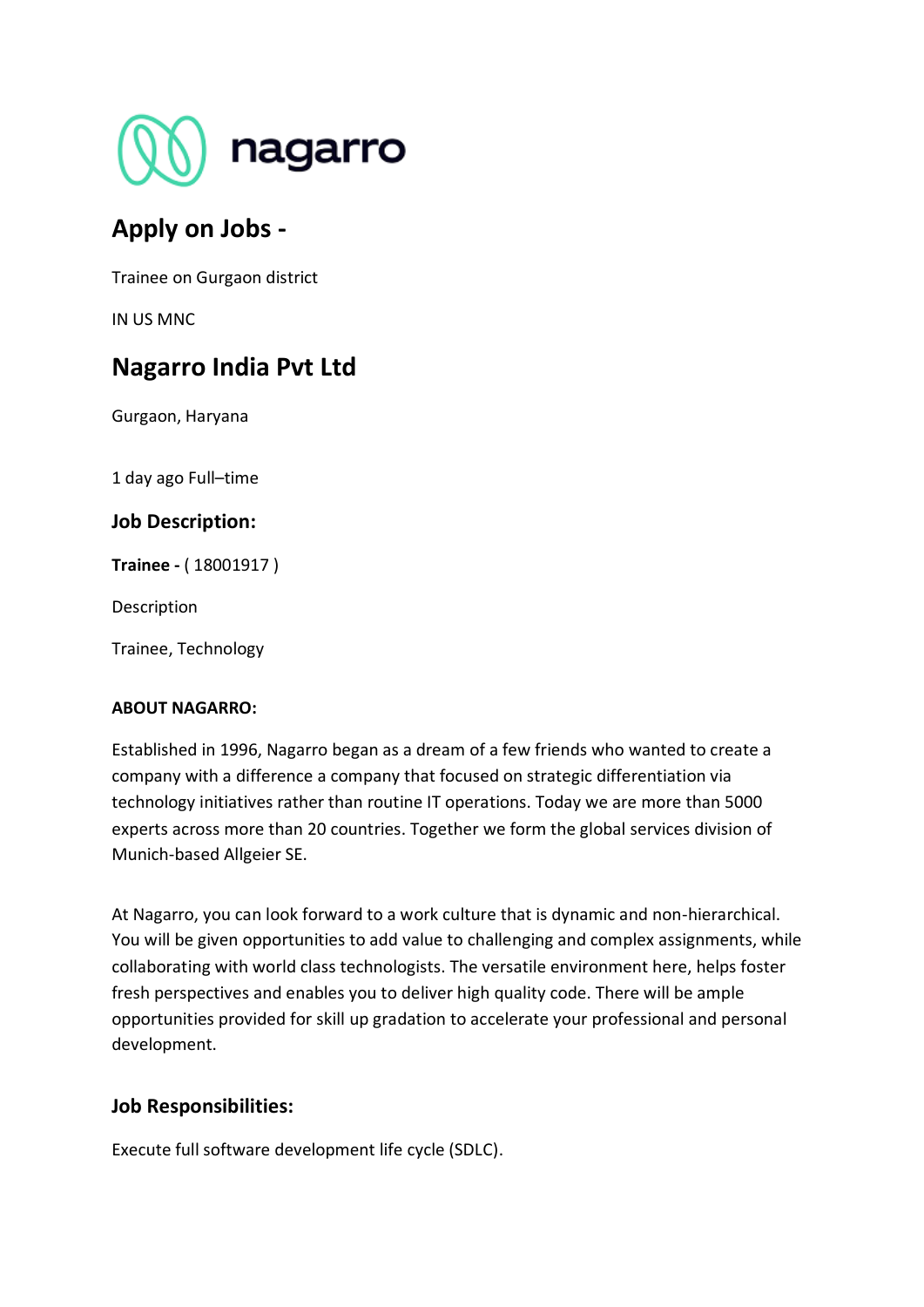

# **Apply on Jobs -**

Trainee on Gurgaon district

IN US MNC

# **Nagarro India Pvt Ltd**

Gurgaon, Haryana

1 day ago Full–time

# **Job Description:**

**Trainee -** ( 18001917 )

Description

Trainee, Technology

### **ABOUT NAGARRO:**

Established in 1996, Nagarro began as a dream of a few friends who wanted to create a company with a difference a company that focused on strategic differentiation via technology initiatives rather than routine IT operations. Today we are more than 5000 experts across more than 20 countries. Together we form the global services division of Munich-based Allgeier SE.

At Nagarro, you can look forward to a work culture that is dynamic and non-hierarchical. You will be given opportunities to add value to challenging and complex assignments, while collaborating with world class technologists. The versatile environment here, helps foster fresh perspectives and enables you to deliver high quality code. There will be ample opportunities provided for skill up gradation to accelerate your professional and personal development.

# **Job Responsibilities:**

Execute full software development life cycle (SDLC).